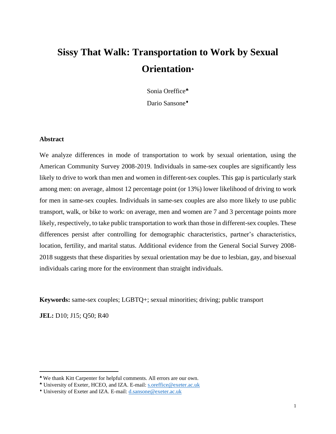# **Sissy That Walk: Transportation to Work by Sexual Orientation**

Sonia Oreffice

Dario Sansone<sup>+</sup>

#### **Abstract**

We analyze differences in mode of transportation to work by sexual orientation, using the American Community Survey 2008-2019. Individuals in same-sex couples are significantly less likely to drive to work than men and women in different-sex couples. This gap is particularly stark among men: on average, almost 12 percentage point (or 13%) lower likelihood of driving to work for men in same-sex couples. Individuals in same-sex couples are also more likely to use public transport, walk, or bike to work: on average, men and women are 7 and 3 percentage points more likely, respectively, to take public transportation to work than those in different-sex couples. These differences persist after controlling for demographic characteristics, partner's characteristics, location, fertility, and marital status. Additional evidence from the General Social Survey 2008- 2018 suggests that these disparities by sexual orientation may be due to lesbian, gay, and bisexual individuals caring more for the environment than straight individuals.

**Keywords:** same-sex couples; LGBTQ+; sexual minorities; driving; public transport

**JEL:** D10; J15; Q50; R40

We thank Kitt Carpenter for helpful comments. All errors are our own.

University of Exeter, HCEO, and IZA. E-mail: [s.oreffice@exeter.ac.uk](mailto:s.oreffice@exeter.ac.uk)

University of Exeter and IZA. E-mail[: d.sansone@exeter.ac.uk](mailto:d.sansone@exeter.ac.uk)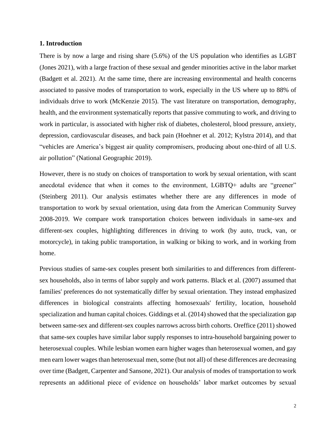#### **1. Introduction**

There is by now a large and rising share (5.6%) of the US population who identifies as LGBT (Jones 2021), with a large fraction of these sexual and gender minorities active in the labor market (Badgett et al. 2021). At the same time, there are increasing environmental and health concerns associated to passive modes of transportation to work, especially in the US where up to 88% of individuals drive to work (McKenzie 2015). The vast literature on transportation, demography, health, and the environment systematically reports that passive commuting to work, and driving to work in particular, is associated with higher risk of diabetes, cholesterol, blood pressure, anxiety, depression, cardiovascular diseases, and back pain (Hoehner et al. 2012; Kylstra 2014), and that "vehicles are America's biggest air quality compromisers, producing about one-third of all U.S. air pollution" (National Geographic 2019).

However, there is no study on choices of transportation to work by sexual orientation, with scant anecdotal evidence that when it comes to the environment, LGBTQ+ adults are "greener" (Steinberg 2011). Our analysis estimates whether there are any differences in mode of transportation to work by sexual orientation, using data from the American Community Survey 2008-2019. We compare work transportation choices between individuals in same-sex and different-sex couples, highlighting differences in driving to work (by auto, truck, van, or motorcycle), in taking public transportation, in walking or biking to work, and in working from home.

Previous studies of same-sex couples present both similarities to and differences from differentsex households, also in terms of labor supply and work patterns. Black et al. (2007) assumed that families' preferences do not systematically differ by sexual orientation. They instead emphasized differences in biological constraints affecting homosexuals' fertility, location, household specialization and human capital choices. Giddings et al. (2014) showed that the specialization gap between same-sex and different-sex couples narrows across birth cohorts. Oreffice (2011) showed that same-sex couples have similar labor supply responses to intra-household bargaining power to heterosexual couples. While lesbian women earn higher wages than heterosexual women, and gay men earn lower wages than heterosexual men, some (but not all) of these differences are decreasing over time (Badgett, Carpenter and Sansone, 2021). Our analysis of modes of transportation to work represents an additional piece of evidence on households' labor market outcomes by sexual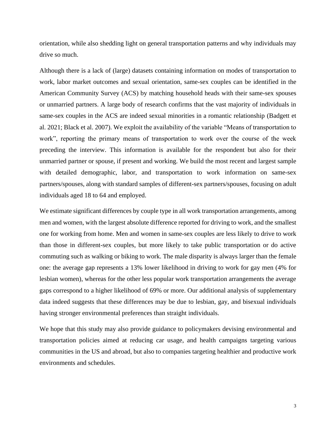orientation, while also shedding light on general transportation patterns and why individuals may drive so much.

Although there is a lack of (large) datasets containing information on modes of transportation to work, labor market outcomes and sexual orientation, same-sex couples can be identified in the American Community Survey (ACS) by matching household heads with their same-sex spouses or unmarried partners. A large body of research confirms that the vast majority of individuals in same-sex couples in the ACS are indeed sexual minorities in a romantic relationship (Badgett et al. 2021; Black et al. 2007). We exploit the availability of the variable "Means of transportation to work", reporting the primary means of transportation to work over the course of the week preceding the interview. This information is available for the respondent but also for their unmarried partner or spouse, if present and working. We build the most recent and largest sample with detailed demographic, labor, and transportation to work information on same-sex partners/spouses, along with standard samples of different-sex partners/spouses, focusing on adult individuals aged 18 to 64 and employed.

We estimate significant differences by couple type in all work transportation arrangements, among men and women, with the largest absolute difference reported for driving to work, and the smallest one for working from home. Men and women in same-sex couples are less likely to drive to work than those in different-sex couples, but more likely to take public transportation or do active commuting such as walking or biking to work. The male disparity is always larger than the female one: the average gap represents a 13% lower likelihood in driving to work for gay men (4% for lesbian women), whereas for the other less popular work transportation arrangements the average gaps correspond to a higher likelihood of 69% or more. Our additional analysis of supplementary data indeed suggests that these differences may be due to lesbian, gay, and bisexual individuals having stronger environmental preferences than straight individuals.

We hope that this study may also provide guidance to policymakers devising environmental and transportation policies aimed at reducing car usage, and health campaigns targeting various communities in the US and abroad, but also to companies targeting healthier and productive work environments and schedules.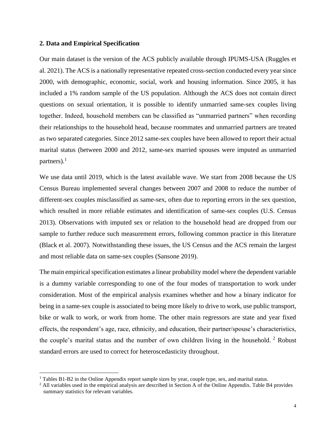#### **2. Data and Empirical Specification**

Our main dataset is the version of the ACS publicly available through IPUMS-USA (Ruggles et al. 2021). The ACS is a nationally representative repeated cross-section conducted every year since 2000, with demographic, economic, social, work and housing information. Since 2005, it has included a 1% random sample of the US population. Although the ACS does not contain direct questions on sexual orientation, it is possible to identify unmarried same-sex couples living together. Indeed, household members can be classified as "unmarried partners" when recording their relationships to the household head, because roommates and unmarried partners are treated as two separated categories. Since 2012 same-sex couples have been allowed to report their actual marital status (between 2000 and 2012, same-sex married spouses were imputed as unmarried partners). $<sup>1</sup>$ </sup>

We use data until 2019, which is the latest available wave. We start from 2008 because the US Census Bureau implemented several changes between 2007 and 2008 to reduce the number of different-sex couples misclassified as same-sex, often due to reporting errors in the sex question, which resulted in more reliable estimates and identification of same-sex couples (U.S. Census 2013). Observations with imputed sex or relation to the household head are dropped from our sample to further reduce such measurement errors, following common practice in this literature (Black et al. 2007). Notwithstanding these issues, the US Census and the ACS remain the largest and most reliable data on same-sex couples (Sansone 2019).

The main empirical specification estimates a linear probability model where the dependent variable is a dummy variable corresponding to one of the four modes of transportation to work under consideration. Most of the empirical analysis examines whether and how a binary indicator for being in a same-sex couple is associated to being more likely to drive to work, use public transport, bike or walk to work, or work from home. The other main regressors are state and year fixed effects, the respondent's age, race, ethnicity, and education, their partner/spouse's characteristics, the couple's marital status and the number of own children living in the household.  $2$  Robust standard errors are used to correct for heteroscedasticity throughout.

<sup>1</sup> Tables B1-B2 in the Online Appendix report sample sizes by year, couple type, sex, and marital status.

<sup>&</sup>lt;sup>2</sup> All variables used in the empirical analysis are described in Section A of the Online Appendix. Table B4 provides summary statistics for relevant variables.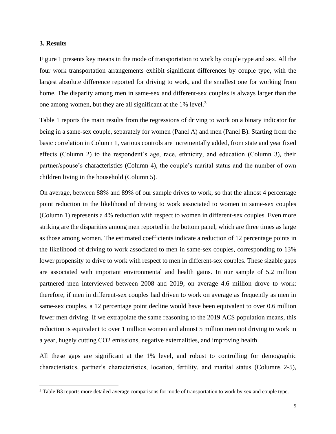#### **3. Results**

Figure 1 presents key means in the mode of transportation to work by couple type and sex. All the four work transportation arrangements exhibit significant differences by couple type, with the largest absolute difference reported for driving to work, and the smallest one for working from home. The disparity among men in same-sex and different-sex couples is always larger than the one among women, but they are all significant at the 1% level.<sup>3</sup>

Table 1 reports the main results from the regressions of driving to work on a binary indicator for being in a same-sex couple, separately for women (Panel A) and men (Panel B). Starting from the basic correlation in Column 1, various controls are incrementally added, from state and year fixed effects (Column 2) to the respondent's age, race, ethnicity, and education (Column 3), their partner/spouse's characteristics (Column 4), the couple's marital status and the number of own children living in the household (Column 5).

On average, between 88% and 89% of our sample drives to work, so that the almost 4 percentage point reduction in the likelihood of driving to work associated to women in same-sex couples (Column 1) represents a 4% reduction with respect to women in different-sex couples. Even more striking are the disparities among men reported in the bottom panel, which are three times as large as those among women. The estimated coefficients indicate a reduction of 12 percentage points in the likelihood of driving to work associated to men in same-sex couples, corresponding to 13% lower propensity to drive to work with respect to men in different-sex couples. These sizable gaps are associated with important environmental and health gains. In our sample of 5.2 million partnered men interviewed between 2008 and 2019, on average 4.6 million drove to work: therefore, if men in different-sex couples had driven to work on average as frequently as men in same-sex couples, a 12 percentage point decline would have been equivalent to over 0.6 million fewer men driving. If we extrapolate the same reasoning to the 2019 ACS population means, this reduction is equivalent to over 1 million women and almost 5 million men not driving to work in a year, hugely cutting CO2 emissions, negative externalities, and improving health.

All these gaps are significant at the 1% level, and robust to controlling for demographic characteristics, partner's characteristics, location, fertility, and marital status (Columns 2-5),

<sup>&</sup>lt;sup>3</sup> Table B3 reports more detailed average comparisons for mode of transportation to work by sex and couple type.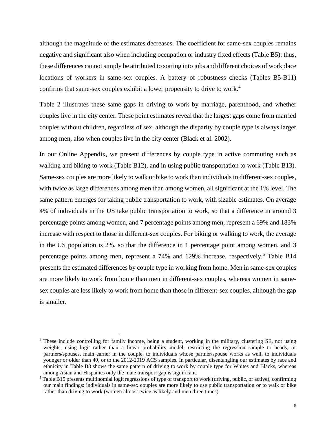although the magnitude of the estimates decreases. The coefficient for same-sex couples remains negative and significant also when including occupation or industry fixed effects (Table B5): thus, these differences cannot simply be attributed to sorting into jobs and different choices of workplace locations of workers in same-sex couples. A battery of robustness checks (Tables B5-B11) confirms that same-sex couples exhibit a lower propensity to drive to work. 4

Table 2 illustrates these same gaps in driving to work by marriage, parenthood, and whether couples live in the city center. These point estimates reveal that the largest gaps come from married couples without children, regardless of sex, although the disparity by couple type is always larger among men, also when couples live in the city center (Black et al. 2002).

In our Online Appendix, we present differences by couple type in active commuting such as walking and biking to work (Table B12), and in using public transportation to work (Table B13). Same-sex couples are more likely to walk or bike to work than individuals in different-sex couples, with twice as large differences among men than among women, all significant at the 1% level. The same pattern emerges for taking public transportation to work, with sizable estimates. On average 4% of individuals in the US take public transportation to work, so that a difference in around 3 percentage points among women, and 7 percentage points among men, represent a 69% and 183% increase with respect to those in different-sex couples. For biking or walking to work, the average in the US population is 2%, so that the difference in 1 percentage point among women, and 3 percentage points among men, represent a 74% and 129% increase, respectively.<sup>5</sup> Table B14 presents the estimated differences by couple type in working from home. Men in same-sex couples are more likely to work from home than men in different-sex couples, whereas women in samesex couples are less likely to work from home than those in different-sex couples, although the gap is smaller.

<sup>&</sup>lt;sup>4</sup> These include controlling for family income, being a student, working in the military, clustering SE, not using weights, using logit rather than a linear probability model, restricting the regression sample to heads, or partners/spouses, main earner in the couple, to individuals whose partner/spouse works as well, to individuals younger or older than 40, or to the 2012-2019 ACS samples. In particular, disentangling our estimates by race and ethnicity in Table B8 shows the same pattern of driving to work by couple type for Whites and Blacks, whereas among Asian and Hispanics only the male transport gap is significant.

<sup>5</sup> Table B15 presents multinomial logit regressions of type of transport to work (driving, public, or active), confirming our main findings: individuals in same-sex couples are more likely to use public transportation or to walk or bike rather than driving to work (women almost twice as likely and men three times).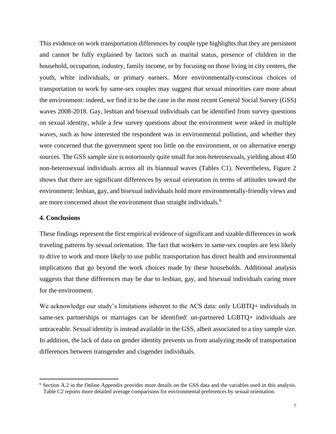This evidence on work transportation differences by couple type highlights that they are persistent and cannot be fully explained by factors such as marital status, presence of children in the household, occupation, industry, family income, or by focusing on those living in city centers, the youth, white individuals, or primary earners. More environmentally-conscious choices of transportation to work by same-sex couples may suggest that sexual minorities care more about the environment: indeed, we find it to be the case in the most recent General Social Survey (GSS) waves 2008-2018. Gay, lesbian and bisexual individuals can be identified from survey questions on sexual identity, while a few survey questions about the environment were asked in multiple waves, such as how interested the respondent was in environmental pollution, and whether they were concerned that the government spent too little on the environment, or on alternative energy sources. The GSS sample size is notoriously quite small for non-heterosexuals, yielding about 450 non-heterosexual individuals across all its biannual waves (Tables C1). Nevertheless, Figure 2 shows that there are significant differences by sexual orientation in terms of attitudes toward the environment: lesbian, gay, and bisexual individuals hold more environmentally-friendly views and are more concerned about the environment than straight individuals.<sup>6</sup>

#### **4. Conclusions**

These findings represent the first empirical evidence of significant and sizable differences in work traveling patterns by sexual orientation. The fact that workers in same-sex couples are less likely to drive to work and more likely to use public transportation has direct health and environmental implications that go beyond the work choices made by these households. Additional analysis suggests that these differences may be due to lesbian, gay, and bisexual individuals caring more for the environment.

We acknowledge our study's limitations inherent to the ACS data: only LGBTQ+ individuals in same-sex partnerships or marriages can be identified: un-partnered LGBTQ+ individuals are untraceable. Sexual identity is instead available in the GSS, albeit associated to a tiny sample size. In addition, the lack of data on gender identity prevents us from analyzing mode of transportation differences between transgender and cisgender individuals.

<sup>&</sup>lt;sup>6</sup> Section A.2 in the Online Appendix provides more details on the GSS data and the variables used in this analysis. Table C2 reports more detailed average comparisons for environmental preferences by sexual orientation.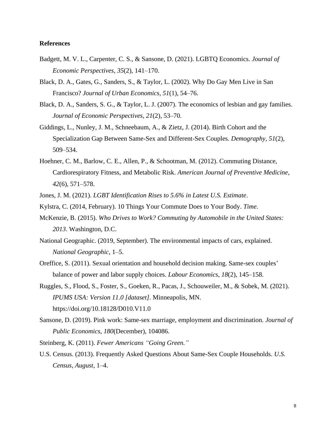#### **References**

- Badgett, M. V. L., Carpenter, C. S., & Sansone, D. (2021). LGBTQ Economics. *Journal of Economic Perspectives*, *35*(2), 141–170.
- Black, D. A., Gates, G., Sanders, S., & Taylor, L. (2002). Why Do Gay Men Live in San Francisco? *Journal of Urban Economics*, *51*(1), 54–76.
- Black, D. A., Sanders, S. G., & Taylor, L. J. (2007). The economics of lesbian and gay families. *Journal of Economic Perspectives*, *21*(2), 53–70.
- Giddings, L., Nunley, J. M., Schneebaum, A., & Zietz, J. (2014). Birth Cohort and the Specialization Gap Between Same-Sex and Different-Sex Couples. *Demography*, *51*(2), 509–534.
- Hoehner, C. M., Barlow, C. E., Allen, P., & Schootman, M. (2012). Commuting Distance, Cardiorespiratory Fitness, and Metabolic Risk. *American Journal of Preventive Medicine*, *42*(6), 571–578.
- Jones, J. M. (2021). *LGBT Identification Rises to 5.6% in Latest U.S. Estimate*.
- Kylstra, C. (2014, February). 10 Things Your Commute Does to Your Body. *Time*.
- McKenzie, B. (2015). *Who Drives to Work? Commuting by Automobile in the United States: 2013*. Washington, D.C.
- National Geographic. (2019, September). The environmental impacts of cars, explained. *National Geographic*, 1–5.
- Oreffice, S. (2011). Sexual orientation and household decision making. Same-sex couples' balance of power and labor supply choices. *Labour Economics*, *18*(2), 145–158.
- Ruggles, S., Flood, S., Foster, S., Goeken, R., Pacas, J., Schouweiler, M., & Sobek, M. (2021). *IPUMS USA: Version 11.0 [dataset]*. Minneapolis, MN. https://doi.org/10.18128/D010.V11.0
- Sansone, D. (2019). Pink work: Same-sex marriage, employment and discrimination. *Journal of Public Economics*, *180*(December), 104086.

Steinberg, K. (2011). *Fewer Americans "Going Green."*

U.S. Census. (2013). Frequently Asked Questions About Same-Sex Couple Households. *U.S. Census*, *August*, 1–4.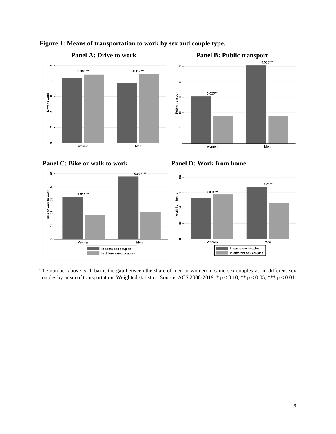











The number above each bar is the gap between the share of men or women in same-sex couples vs. in different-sex couples by mean of transportation. Weighted statistics. Source: ACS 2008-2019. \*  $p < 0.10$ , \*\*  $p < 0.05$ , \*\*\*  $p < 0.01$ .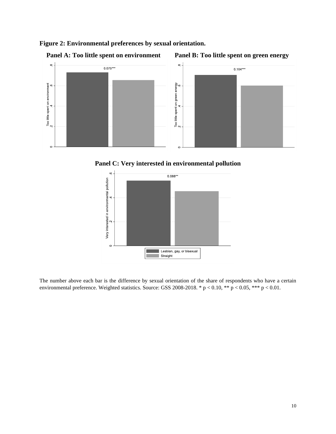







**Panel C: Very interested in environmental pollution**



The number above each bar is the difference by sexual orientation of the share of respondents who have a certain environmental preference. Weighted statistics. Source: GSS 2008-2018. \*  $p < 0.10$ , \*\*  $p < 0.05$ , \*\*\*  $p < 0.01$ .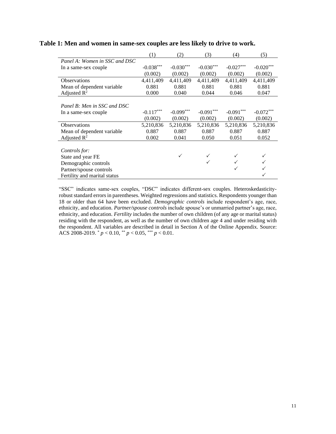|                               | (1)         | (2)         | (3)         | (4)         | (5)         |
|-------------------------------|-------------|-------------|-------------|-------------|-------------|
| Panel A: Women in SSC and DSC |             |             |             |             |             |
| In a same-sex couple          | $-0.038***$ | $-0.030***$ | $-0.030***$ | $-0.027***$ | $-0.020***$ |
|                               | (0.002)     | (0.002)     | (0.002)     | (0.002)     | (0.002)     |
| Observations                  | 4,411,409   | 4,411,409   | 4,411,409   | 4,411,409   | 4,411,409   |
| Mean of dependent variable    | 0.881       | 0.881       | 0.881       | 0.881       | 0.881       |
| Adjusted $R^2$                | 0.000       | 0.040       | 0.044       | 0.046       | 0.047       |
|                               |             |             |             |             |             |
| Panel B: Men in SSC and DSC   |             |             |             |             |             |
| In a same-sex couple          | $-0.117***$ | $-0.099***$ | $-0.091***$ | $-0.091***$ | $-0.072***$ |
|                               | (0.002)     | (0.002)     | (0.002)     | (0.002)     | (0.002)     |
| <b>Observations</b>           | 5,210,836   | 5,210,836   | 5,210,836   | 5,210,836   | 5,210,836   |
| Mean of dependent variable.   | 0.887       | 0.887       | 0.887       | 0.887       | 0.887       |
| Adjusted $\mathbb{R}^2$       | 0.002       | 0.041       | 0.050       | 0.051       | 0.052       |
|                               |             |             |             |             |             |
| Controls for:                 |             |             |             |             |             |
| State and year FE             |             | ✓           |             |             |             |
| Demographic controls          |             |             |             |             |             |
| Partner/spouse controls       |             |             |             |             |             |
| Fertility and marital status  |             |             |             |             |             |

#### **Table 1: Men and women in same-sex couples are less likely to drive to work.**

"SSC" indicates same-sex couples, "DSC" indicates different-sex couples. Heteroskedasticityrobust standard errors in parentheses. Weighted regressions and statistics. Respondents younger than 18 or older than 64 have been excluded. *Demographic controls* include respondent's age, race, ethnicity, and education. *Partner/spouse controls* include spouse's or unmarried partner's age, race, ethnicity, and education. *Fertility* includes the number of own children (of any age or marital status) residing with the respondent, as well as the number of own children age 4 and under residing with the respondent. All variables are described in detail in Section A of the Online Appendix. Source: ACS 2008-2019. \* *p* < 0.10, \*\* *p* < 0.05, \*\*\* *p* < 0.01.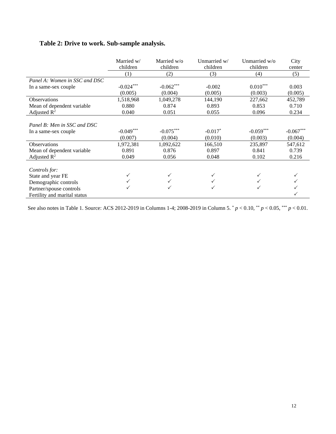# **Table 2: Drive to work. Sub-sample analysis.**

|                               | Married w/  | Married w/o | Unmarried w/ | Unmarried w/o | City        |
|-------------------------------|-------------|-------------|--------------|---------------|-------------|
|                               | children    | children    | children     | children      | center      |
|                               | (1)         | (2)         | (3)          | (4)           | (5)         |
| Panel A: Women in SSC and DSC |             |             |              |               |             |
| In a same-sex couple          | $-0.024***$ | $-0.062***$ | $-0.002$     | $0.010***$    | 0.003       |
|                               | (0.005)     | (0.004)     | (0.005)      | (0.003)       | (0.005)     |
| <b>Observations</b>           | 1,518,968   | 1,049,278   | 144,190      | 227,662       | 452,789     |
| Mean of dependent variable    | 0.880       | 0.874       | 0.893        | 0.853         | 0.710       |
| Adjusted $\mathbb{R}^2$       | 0.040       | 0.051       | 0.055        | 0.096         | 0.234       |
|                               |             |             |              |               |             |
| Panel B: Men in SSC and DSC   |             |             |              |               |             |
| In a same-sex couple          | $-0.049***$ | $-0.075***$ | $-0.017*$    | $-0.059***$   | $-0.067***$ |
|                               | (0.007)     | (0.004)     | (0.010)      | (0.003)       | (0.004)     |
| Observations                  | 1,972,381   | 1,092,622   | 166,510      | 235,897       | 547,612     |
| Mean of dependent variable    | 0.891       | 0.876       | 0.897        | 0.841         | 0.739       |
| Adjusted $R^2$                | 0.049       | 0.056       | 0.048        | 0.102         | 0.216       |
|                               |             |             |              |               |             |
| Controls for:                 |             |             |              |               |             |
| State and year FE             |             |             |              |               |             |
| Demographic controls          |             |             |              |               |             |
| Partner/spouse controls       |             |             |              |               |             |
| Fertility and marital status  |             |             |              |               |             |

See also notes in Table 1. Source: ACS 2012-2019 in Columns 1-4; 2008-2019 in Column 5.  $p < 0.10$ ,  $\binom{**}{r} < 0.05$ ,  $\binom{***}{r} < 0.01$ .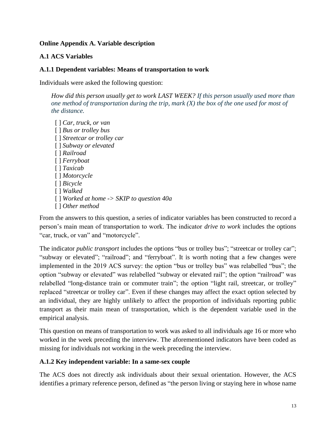### **Online Appendix A. Variable description**

### **A.1 ACS Variables**

### **A.1.1 Dependent variables: Means of transportation to work**

Individuals were asked the following question:

*How did this person usually get to work LAST WEEK? If this person usually used more than one method of transportation during the trip, mark (X) the box of the one used for most of the distance.*

[ ] *Car, truck, or van* [ ] *Bus or trolley bus*  [ ] *Streetcar or trolley car* [ ] *Subway or elevated* [ ] *Railroad* [ ] *Ferryboat* [ ] *Taxicab* [ ] *Motorcycle* [ ] *Bicycle* [ ] *Walked* [ ] *Worked at home -> SKIP to question 40a* [ ] *Other method*

From the answers to this question, a series of indicator variables has been constructed to record a person's main mean of transportation to work. The indicator *drive to work* includes the options "car, truck, or van" and "motorcycle".

The indicator *public transport* includes the options "bus or trolley bus"; "streetcar or trolley car"; "subway or elevated"; "railroad"; and "ferryboat". It is worth noting that a few changes were implemented in the 2019 ACS survey: the option "bus or trolley bus" was relabelled "bus"; the option "subway or elevated" was relabelled "subway or elevated rail"; the option "railroad" was relabelled "long-distance train or commuter train"; the option "light rail, streetcar, or trolley" replaced "streetcar or trolley car". Even if these changes may affect the exact option selected by an individual, they are highly unlikely to affect the proportion of individuals reporting public transport as their main mean of transportation, which is the dependent variable used in the empirical analysis.

This question on means of transportation to work was asked to all individuals age 16 or more who worked in the week preceding the interview. The aforementioned indicators have been coded as missing for individuals not working in the week preceding the interview.

### **A.1.2 Key independent variable: In a same-sex couple**

The ACS does not directly ask individuals about their sexual orientation. However, the ACS identifies a primary reference person, defined as "the person living or staying here in whose name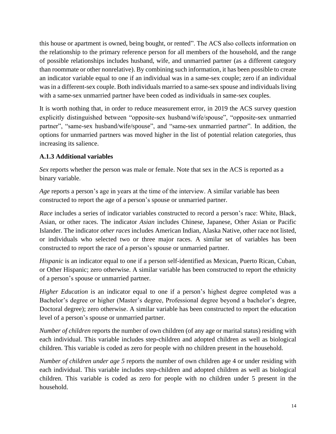this house or apartment is owned, being bought, or rented". The ACS also collects information on the relationship to the primary reference person for all members of the household, and the range of possible relationships includes husband, wife, and unmarried partner (as a different category than roommate or other nonrelative). By combining such information, it has been possible to create an indicator variable equal to one if an individual was in a same-sex couple; zero if an individual was in a different-sex couple. Both individuals married to a same-sex spouse and individuals living with a same-sex unmarried partner have been coded as individuals in same-sex couples.

It is worth nothing that, in order to reduce measurement error, in 2019 the ACS survey question explicitly distinguished between "opposite-sex husband/wife/spouse", "opposite-sex unmarried partner", "same-sex husband/wife/spouse", and "same-sex unmarried partner". In addition, the options for unmarried partners was moved higher in the list of potential relation categories, thus increasing its salience.

### **A.1.3 Additional variables**

*Sex* reports whether the person was male or female. Note that sex in the ACS is reported as a binary variable.

*Age* reports a person's age in years at the time of the interview. A similar variable has been constructed to report the age of a person's spouse or unmarried partner.

*Race* includes a series of indicator variables constructed to record a person's race: White, Black, Asian, or other races. The indicator *Asian* includes Chinese, Japanese, Other Asian or Pacific Islander. The indicator *other races* includes American Indian, Alaska Native, other race not listed, or individuals who selected two or three major races. A similar set of variables has been constructed to report the race of a person's spouse or unmarried partner.

*Hispanic* is an indicator equal to one if a person self-identified as Mexican, Puerto Rican, Cuban, or Other Hispanic; zero otherwise. A similar variable has been constructed to report the ethnicity of a person's spouse or unmarried partner.

*Higher Education* is an indicator equal to one if a person's highest degree completed was a Bachelor's degree or higher (Master's degree, Professional degree beyond a bachelor's degree, Doctoral degree); zero otherwise. A similar variable has been constructed to report the education level of a person's spouse or unmarried partner.

*Number of children* reports the number of own children (of any age or marital status) residing with each individual. This variable includes step-children and adopted children as well as biological children. This variable is coded as zero for people with no children present in the household.

*Number of children under age 5* reports the number of own children age 4 or under residing with each individual. This variable includes step-children and adopted children as well as biological children. This variable is coded as zero for people with no children under 5 present in the household.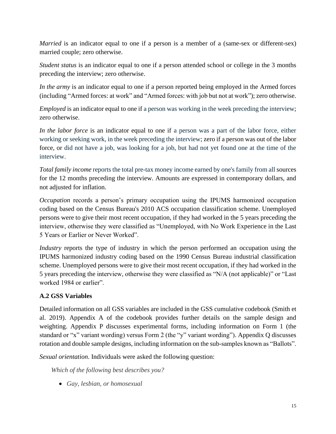*Married* is an indicator equal to one if a person is a member of a (same-sex or different-sex) married couple; zero otherwise.

*Student status* is an indicator equal to one if a person attended school or college in the 3 months preceding the interview; zero otherwise.

*In the army* is an indicator equal to one if a person reported being employed in the Armed forces (including "Armed forces: at work" and "Armed forces: with job but not at work"); zero otherwise.

*Employed* is an indicator equal to one if a person was working in the week preceding the interview; zero otherwise.

*In the labor force* is an indicator equal to one if a person was a part of the labor force, either working or seeking work, in the week preceding the interview; zero if a person was out of the labor force, or did not have a job, was looking for a job, but had not yet found one at the time of the interview.

*Total family income* reports the total pre-tax money income earned by one's family from all sources for the 12 months preceding the interview. Amounts are expressed in contemporary dollars, and not adjusted for inflation.

*Occupation* records a person's primary occupation using the IPUMS harmonized occupation coding based on the Census Bureau's 2010 ACS occupation classification scheme. Unemployed persons were to give their most recent occupation, if they had worked in the 5 years preceding the interview, otherwise they were classified as "Unemployed, with No Work Experience in the Last 5 Years or Earlier or Never Worked".

*Industry* reports the type of industry in which the person performed an occupation using the IPUMS harmonized industry coding based on the 1990 Census Bureau industrial classification scheme. Unemployed persons were to give their most recent occupation, if they had worked in the 5 years preceding the interview, otherwise they were classified as "N/A (not applicable)" or "Last worked 1984 or earlier".

### **A.2 GSS Variables**

Detailed information on all GSS variables are included in the GSS cumulative codebook (Smith et al. 2019). Appendix A of the codebook provides further details on the sample design and weighting. Appendix P discusses experimental forms, including information on Form 1 (the standard or "x" variant wording) versus Form 2 (the "y" variant wording"). Appendix Q discusses rotation and double sample designs, including information on the sub-samples known as "Ballots".

*Sexual orientation*. Individuals were asked the following question:

*Which of the following best describes you?*

• *Gay, lesbian, or homosexual*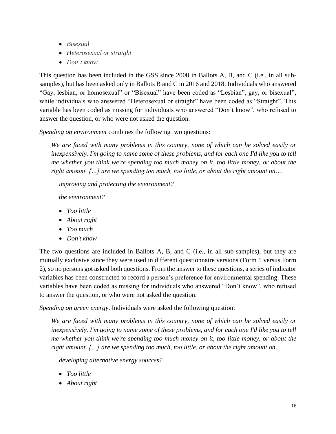- *Bisexual*
- *Heterosexual or straight*
- *Don't know*

This question has been included in the GSS since 2008 in Ballots A, B, and C (i.e., in all subsamples), but has been asked only in Ballots B and C in 2016 and 2018. Individuals who answered "Gay, lesbian, or homosexual" or "Bisexual" have been coded as "Lesbian", gay, or bisexual", while individuals who answered "Heterosexual or straight" have been coded as "Straight". This variable has been coded as missing for individuals who answered "Don't know", who refused to answer the question, or who were not asked the question.

*Spending on environment* combines the following two questions:

*We are faced with many problems in this country, none of which can be solved easily or inexpensively. I'm going to name some of these problems, and for each one I'd like you to tell me whether you think we're spending too much money on it, too little money, or about the right amount. […] are we spending too much, too little, or about the right amount on….*

*improving and protecting the environment?*

*the environment?*

- *Too little*
- *About right*
- *Too much*
- *Don't know*

The two questions are included in Ballots A, B, and C (i.e., in all sub-samples), but they are mutually exclusive since they were used in different questionnaire versions (Form 1 versus Form 2), so no persons got asked both questions. From the answer to these questions, a series of indicator variables has been constructed to record a person's preference for environmental spending. These variables have been coded as missing for individuals who answered "Don't know", who refused to answer the question, or who were not asked the question.

*Spending on green energy*. Individuals were asked the following question:

*We are faced with many problems in this country, none of which can be solved easily or inexpensively. I'm going to name some of these problems, and for each one I'd like you to tell me whether you think we're spending too much money on it, too little money, or about the right amount. […] are we spending too much, too little, or about the right amount on…*

*developing alternative energy sources?*

- *Too little*
- *About right*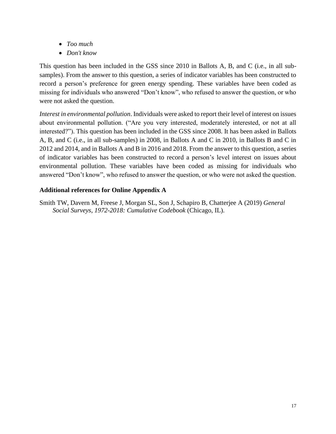- *Too much*
- *Don't know*

This question has been included in the GSS since 2010 in Ballots A, B, and C (i.e., in all subsamples). From the answer to this question, a series of indicator variables has been constructed to record a person's preference for green energy spending. These variables have been coded as missing for individuals who answered "Don't know", who refused to answer the question, or who were not asked the question.

*Interest in environmental pollution*. Individuals were asked to report their level of interest on issues about environmental pollution. ("Are you very interested, moderately interested, or not at all interested?"). This question has been included in the GSS since 2008. It has been asked in Ballots A, B, and C (i.e., in all sub-samples) in 2008, in Ballots A and C in 2010, in Ballots B and C in 2012 and 2014, and in Ballots A and B in 2016 and 2018. From the answer to this question, a series of indicator variables has been constructed to record a person's level interest on issues about environmental pollution. These variables have been coded as missing for individuals who answered "Don't know", who refused to answer the question, or who were not asked the question.

### **Additional references for Online Appendix A**

Smith TW, Davern M, Freese J, Morgan SL, Son J, Schapiro B, Chatterjee A (2019) *General Social Surveys, 1972-2018: Cumulative Codebook* (Chicago, IL).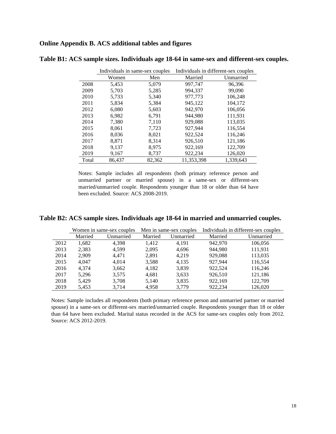#### **Online Appendix B. ACS additional tables and figures**

|       | Individuals in same-sex couples |        | Individuals in different-sex couples |           |  |
|-------|---------------------------------|--------|--------------------------------------|-----------|--|
|       | Women                           | Men    | Married                              | Unmarried |  |
| 2008  | 5,453                           | 5,079  | 997,747                              | 96,396    |  |
| 2009  | 5,703                           | 5,285  | 994,337                              | 99,090    |  |
| 2010  | 5,733                           | 5,340  | 977,773                              | 106,248   |  |
| 2011  | 5,834                           | 5,384  | 945,122                              | 104,172   |  |
| 2012  | 6,080                           | 5,603  | 942,970                              | 106,056   |  |
| 2013  | 6,982                           | 6,791  | 944,980                              | 111,931   |  |
| 2014  | 7,380                           | 7,110  | 929,088                              | 113,035   |  |
| 2015  | 8,061                           | 7,723  | 927,944                              | 116,554   |  |
| 2016  | 8,036                           | 8,021  | 922,524                              | 116,246   |  |
| 2017  | 8,871                           | 8,314  | 926,510                              | 121,186   |  |
| 2018  | 9,137                           | 8,975  | 922,169                              | 122,709   |  |
| 2019  | 9,167                           | 8,737  | 922,234                              | 126,020   |  |
| Total | 86,437                          | 82,362 | 11,353,398                           | 1,339,643 |  |

**Table B1: ACS sample sizes. Individuals age 18-64 in same-sex and different-sex couples.**

Notes: Sample includes all respondents (both primary reference person and unmarried partner or married spouse) in a same-sex or different-sex married/unmarried couple. Respondents younger than 18 or older than 64 have been excluded. Source: ACS 2008-2019.

#### **Table B2: ACS sample sizes. Individuals age 18-64 in married and unmarried couples.**

|      |         | Women in same-sex couples | Men in same-sex couples |           |         | Individuals in different-sex couples |
|------|---------|---------------------------|-------------------------|-----------|---------|--------------------------------------|
|      | Married | Unmarried                 | Married                 | Unmarried | Married | Unmarried                            |
| 2012 | 1,682   | 4.398                     | 1.412                   | 4.191     | 942.970 | 106.056                              |
| 2013 | 2,383   | 4.599                     | 2,095                   | 4,696     | 944.980 | 111.931                              |
| 2014 | 2,909   | 4.471                     | 2,891                   | 4.219     | 929,088 | 113,035                              |
| 2015 | 4.047   | 4.014                     | 3,588                   | 4,135     | 927,944 | 116,554                              |
| 2016 | 4,374   | 3,662                     | 4,182                   | 3,839     | 922,524 | 116,246                              |
| 2017 | 5,296   | 3,575                     | 4,681                   | 3,633     | 926,510 | 121,186                              |
| 2018 | 5,429   | 3,708                     | 5,140                   | 3,835     | 922,169 | 122,709                              |
| 2019 | 5,453   | 3,714                     | 4,958                   | 3,779     | 922,234 | 126,020                              |

Notes: Sample includes all respondents (both primary reference person and unmarried partner or married spouse) in a same-sex or different-sex married/unmarried couple. Respondents younger than 18 or older than 64 have been excluded. Marital status recorded in the ACS for same-sex couples only from 2012. Source: ACS 2012-2019.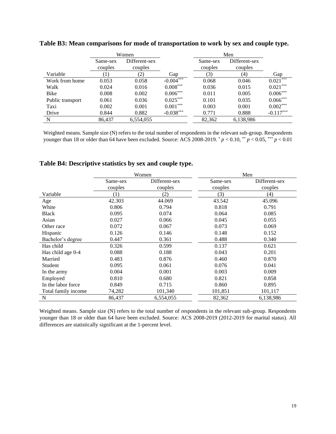|                  | Women    |                   |                         | Men      |               |             |
|------------------|----------|-------------------|-------------------------|----------|---------------|-------------|
|                  | Same-sex | Different-sex     |                         | Same-sex | Different-sex |             |
|                  | couples  | couples           |                         | couples  | couples       |             |
| Variable         |          | $\left( 2\right)$ | Gap                     | (3)      | (4)           | Gap         |
| Work from home   | 0.053    | 0.058             | $-0.004$ <sup>***</sup> | 0.068    | 0.046         | $0.021***$  |
| Walk             | 0.024    | 0.016             | $0.008***$              | 0.036    | 0.015         | $0.021***$  |
| Bike             | 0.008    | 0.002             | $0.006***$              | 0.011    | 0.005         | $0.006***$  |
| Public transport | 0.061    | 0.036             | $0.025***$              | 0.101    | 0.035         | $0.066***$  |
| Taxi             | 0.002    | 0.001             | $0.001***$              | 0.003    | 0.001         | $0.002***$  |
| Drive            | 0.844    | 0.882             | $-0.038***$             | 0.771    | 0.888         | $-0.117***$ |
| N                | 86,437   | 6,554,055         |                         | 82,362   | 6,138,986     |             |

**Table B3: Mean comparisons for mode of transportation to work by sex and couple type.**

Weighted means. Sample size (N) refers to the total number of respondents in the relevant sub-group. Respondents younger than 18 or older than 64 have been excluded. Source: ACS 2008-2019.  $p < 0.10$ ,  $p < 0.05$ ,  $p < 0.01$ 

|                     | Women    |               |          | Men           |
|---------------------|----------|---------------|----------|---------------|
|                     | Same-sex | Different-sex | Same-sex | Different-sex |
|                     | couples  | couples       | couples  | couples       |
| Variable            | (1)      | (2)           | (3)      | (4)           |
| Age                 | 42.303   | 44.069        | 43.542   | 45.096        |
| White               | 0.806    | 0.794         | 0.818    | 0.791         |
| <b>Black</b>        | 0.095    | 0.074         | 0.064    | 0.085         |
| Asian               | 0.027    | 0.066         | 0.045    | 0.055         |
| Other race          | 0.072    | 0.067         | 0.073    | 0.069         |
| Hispanic            | 0.126    | 0.146         | 0.148    | 0.152         |
| Bachelor's degree   | 0.447    | 0.361         | 0.488    | 0.340         |
| Has child           | 0.326    | 0.599         | 0.137    | 0.621         |
| Has child age 0-4   | 0.088    | 0.188         | 0.043    | 0.201         |
| Married             | 0.483    | 0.876         | 0.460    | 0.870         |
| Student             | 0.095    | 0.061         | 0.076    | 0.041         |
| In the army         | 0.004    | 0.001         | 0.003    | 0.009         |
| Employed            | 0.810    | 0.680         | 0.821    | 0.858         |
| In the labor force  | 0.849    | 0.715         | 0.860    | 0.895         |
| Total family income | 74,282   | 101,340       | 101,851  | 101,117       |
| N                   | 86,437   | 6,554,055     | 82,362   | 6,138,986     |

**Table B4: Descriptive statistics by sex and couple type.** 

Weighted means. Sample size (N) refers to the total number of respondents in the relevant sub-group. Respondents younger than 18 or older than 64 have been excluded. Source: ACS 2008-2019 (2012-2019 for marital status). All differences are statistically significant at the 1-percent level.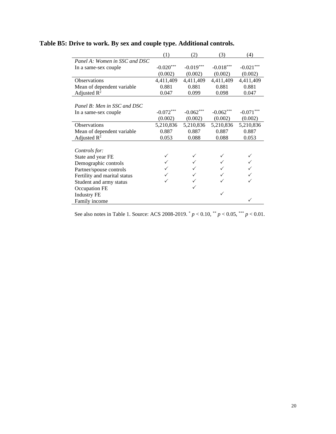|                               | (1)         | (2)         | (3)         | (4)         |
|-------------------------------|-------------|-------------|-------------|-------------|
| Panel A: Women in SSC and DSC |             |             |             |             |
| In a same-sex couple          | $-0.020***$ | $-0.019***$ | $-0.018***$ | $-0.021***$ |
|                               | (0.002)     | (0.002)     | (0.002)     | (0.002)     |
| <b>Observations</b>           | 4,411,409   | 4,411,409   | 4,411,409   | 4,411,409   |
| Mean of dependent variable    | 0.881       | 0.881       | 0.881       | 0.881       |
| Adjusted $R^2$                | 0.047       | 0.099       | 0.098       | 0.047       |
|                               |             |             |             |             |
| Panel B: Men in SSC and DSC   |             |             |             |             |
| In a same-sex couple          | $-0.072***$ | $-0.062***$ | $-0.062***$ | $-0.071***$ |
|                               | (0.002)     | (0.002)     | (0.002)     | (0.002)     |
| Observations                  | 5,210,836   | 5,210,836   | 5,210,836   | 5,210,836   |
| Mean of dependent variable    | 0.887       | 0.887       | 0.887       | 0.887       |
| Adjusted $\mathbb{R}^2$       | 0.053       | 0.088       | 0.088       | 0.053       |
|                               |             |             |             |             |
| Controls for:                 |             |             |             |             |
| State and year FE             |             |             |             |             |
| Demographic controls          |             |             |             |             |
| Partner/spouse controls       |             |             |             |             |
| Fertility and marital status  |             |             |             |             |
| Student and army status       | ✓           |             |             |             |
| Occupation FE                 |             |             |             |             |
| <b>Industry FE</b>            |             |             | ✓           |             |
| Family income                 |             |             |             |             |

# **Table B5: Drive to work. By sex and couple type. Additional controls.**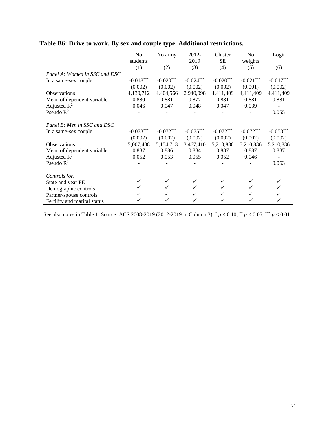| Table B6: Drive to work. By sex and couple type. Additional restrictions. |
|---------------------------------------------------------------------------|
|---------------------------------------------------------------------------|

|                               | No           | No army      | 2012-        | Cluster      | N <sub>0</sub> | Logit       |
|-------------------------------|--------------|--------------|--------------|--------------|----------------|-------------|
|                               | students     |              | 2019         | <b>SE</b>    | weights        |             |
|                               | (1)          | (2)          | (3)          | (4)          | (5)            | (6)         |
| Panel A: Women in SSC and DSC |              |              |              |              |                |             |
| In a same-sex couple          | $-0.018***$  | $-0.020***$  | $-0.024***$  | $-0.020***$  | $-0.021***$    | $-0.017***$ |
|                               | (0.002)      | (0.002)      | (0.002)      | (0.002)      | (0.001)        | (0.002)     |
| <b>Observations</b>           | 4,139,712    | 4,404,566    | 2,940,098    | 4,411,409    | 4,411,409      | 4,411,409   |
| Mean of dependent variable    | 0.880        | 0.881        | 0.877        | 0.881        | 0.881          | 0.881       |
| Adjusted $R^2$                | 0.046        | 0.047        | 0.048        | 0.047        | 0.039          |             |
| Pseudo $R^2$                  |              |              |              |              |                | 0.055       |
|                               |              |              |              |              |                |             |
| Panel B: Men in SSC and DSC   |              |              |              |              |                |             |
| In a same-sex couple          | $-0.073***$  | $-0.072***$  | $-0.075***$  | $-0.072***$  | $-0.072***$    | $-0.053***$ |
|                               | (0.002)      | (0.002)      | (0.002)      | (0.002)      | (0.002)        | (0.002)     |
| Observations                  | 5,007,438    | 5,154,713    | 3,467,410    | 5,210,836    | 5,210,836      | 5,210,836   |
| Mean of dependent variable    | 0.887        | 0.886        | 0.884        | 0.887        | 0.887          | 0.887       |
| Adjusted $R^2$                | 0.052        | 0.053        | 0.055        | 0.052        | 0.046          |             |
| Pseudo $R^2$                  |              |              |              |              |                | 0.063       |
|                               |              |              |              |              |                |             |
| Controls for:                 |              |              |              |              |                |             |
| State and year FE             | $\checkmark$ | $\checkmark$ | $\checkmark$ | $\checkmark$ | ✓              | ✓           |
| Demographic controls          | $\checkmark$ | $\checkmark$ | $\checkmark$ | ✓            |                | ✓           |
| Partner/spouse controls       |              | $\checkmark$ |              |              |                |             |
| Fertility and marital status  |              | ✓            |              |              |                |             |

See also notes in Table 1. Source: ACS 2008-2019 (2012-2019 in Column 3).  $p < 0.10$ ,  $\binom{**}{r} < 0.05$ ,  $\binom{**}{r} < 0.01$ .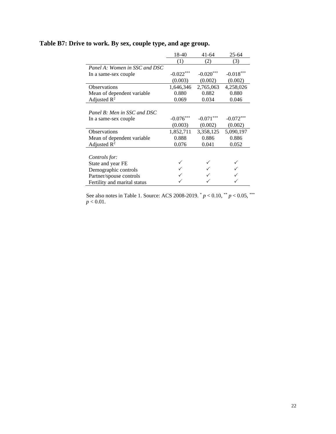|                               | 18-40       | $41 - 64$   | $25 - 64$   |
|-------------------------------|-------------|-------------|-------------|
|                               | (1)         | (2)         | (3)         |
| Panel A: Women in SSC and DSC |             |             |             |
| In a same-sex couple          | $-0.022***$ | $-0.020***$ | $-0.018***$ |
|                               | (0.003)     | (0.002)     | (0.002)     |
| <b>Observations</b>           | 1,646,346   | 2,765,063   | 4,258,026   |
| Mean of dependent variable.   | 0.880       | 0.882       | 0.880       |
| Adjusted $R^2$                | 0.069       | 0.034       | 0.046       |
|                               |             |             |             |
| Panel B: Men in SSC and DSC   |             |             |             |
| In a same-sex couple          | $-0.076***$ | $-0.071$    | $-0.072***$ |
|                               | (0.003)     | (0.002)     | (0.002)     |
| <b>Observations</b>           | 1,852,711   | 3,358,125   | 5,090,197   |
| Mean of dependent variable    | 0.888       | 0.886       | 0.886       |
| Adjusted $\mathbb{R}^2$       | 0.076       | 0.041       | 0.052       |
|                               |             |             |             |
| Controls for:                 |             |             |             |
| State and year FE             |             |             |             |
| Demographic controls          |             |             |             |
| Partner/spouse controls       |             |             |             |
| Fertility and marital status  |             |             |             |

# **Table B7: Drive to work. By sex, couple type, and age group.**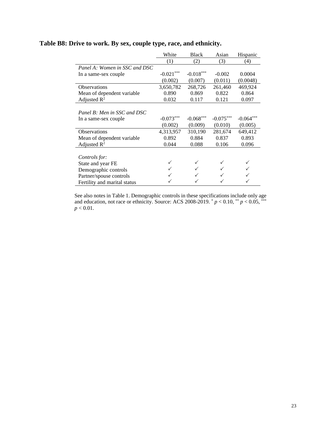|                               | White       | <b>Black</b> | Asian       | Hispanic    |
|-------------------------------|-------------|--------------|-------------|-------------|
|                               | (1)         | (2)          | (3)         | (4)         |
| Panel A: Women in SSC and DSC |             |              |             |             |
| In a same-sex couple          | $-0.021***$ | $-0.018***$  | $-0.002$    | 0.0004      |
|                               | (0.002)     | (0.007)      | (0.011)     | (0.0048)    |
| <b>Observations</b>           | 3,650,782   | 268,726      | 261,460     | 469,924     |
| Mean of dependent variable    | 0.890       | 0.869        | 0.822       | 0.864       |
| Adjusted $R^2$                | 0.032       | 0.117        | 0.121       | 0.097       |
|                               |             |              |             |             |
| Panel B: Men in SSC and DSC   |             |              |             |             |
| In a same-sex couple          | $-0.073***$ | $-0.068***$  | $-0.075***$ | $-0.064***$ |
|                               | (0.002)     | (0.009)      | (0.010)     | (0.005)     |
| Observations                  | 4,313,957   | 310,190      | 281,674     | 649,412     |
| Mean of dependent variable    | 0.892       | 0.884        | 0.837       | 0.893       |
| Adjusted $R^2$                | 0.044       | 0.088        | 0.106       | 0.096       |
|                               |             |              |             |             |
| Controls for:                 |             |              |             |             |
| State and year FE             |             |              |             |             |
| Demographic controls          |             |              |             |             |
| Partner/spouse controls       |             |              |             |             |
| Fertility and marital status  |             |              |             |             |

### **Table B8: Drive to work. By sex, couple type, race, and ethnicity.**

See also notes in Table 1. Demographic controls in these specifications include only age and education, not race or ethnicity. Source: ACS 2008-2019.  $p < 0.10$ ,  $p < 0.05$ ,  $p = 0.05$ ,  $p < 0.01$ .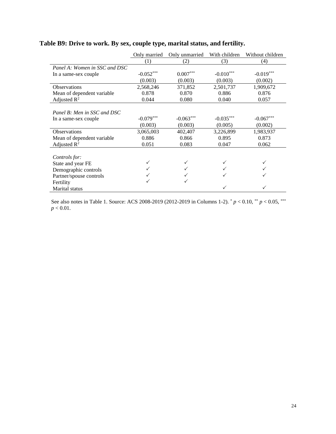|                               | Only married | Only unmarried         | With children | Without children |
|-------------------------------|--------------|------------------------|---------------|------------------|
|                               | (1)          | (2)                    | (3)           | (4)              |
| Panel A: Women in SSC and DSC |              |                        |               |                  |
| In a same-sex couple          | $-0.052***$  | $0.007^{\ast\ast\ast}$ | $-0.010***$   | $-0.019***$      |
|                               | (0.003)      | (0.003)                | (0.003)       | (0.002)          |
| Observations                  | 2,568,246    | 371,852                | 2,501,737     | 1,909,672        |
| Mean of dependent variable    | 0.878        | 0.870                  | 0.886         | 0.876            |
| Adjusted $R^2$                | 0.044        | 0.080                  | 0.040         | 0.057            |
|                               |              |                        |               |                  |
| Panel B: Men in SSC and DSC   |              |                        |               |                  |
| In a same-sex couple          | $-0.079***$  | $-0.063***$            | $-0.035***$   | $-0.067***$      |
|                               | (0.003)      | (0.003)                | (0.005)       | (0.002)          |
| <b>Observations</b>           | 3,065,003    | 402,407                | 3,226,899     | 1,983,937        |
| Mean of dependent variable    | 0.886        | 0.866                  | 0.895         | 0.873            |
| Adjusted $R^2$                | 0.051        | 0.083                  | 0.047         | 0.062            |
|                               |              |                        |               |                  |
| Controls for:                 |              |                        |               |                  |
| State and year FE             |              |                        |               |                  |
| Demographic controls          |              |                        |               |                  |
| Partner/spouse controls       |              |                        |               |                  |
| Fertility                     |              |                        |               |                  |
| Marital status                |              |                        |               |                  |

# **Table B9: Drive to work. By sex, couple type, marital status, and fertility.**

See also notes in Table 1. Source: ACS 2008-2019 (2012-2019 in Columns 1-2).  $p < 0.10$ ,  $\binom{**}{r} < 0.05$ ,  $\binom{***}{r}$  $p < 0.01$ .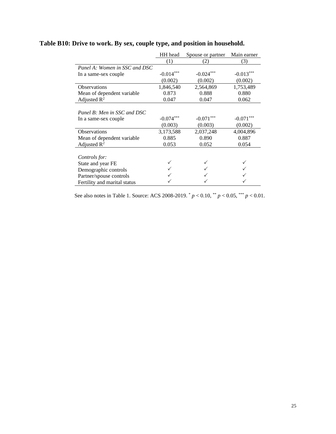|                               | HH head     | Spouse or partner | Main earner |
|-------------------------------|-------------|-------------------|-------------|
|                               | (1)         | (2)               | (3)         |
| Panel A: Women in SSC and DSC |             |                   |             |
| In a same-sex couple          | $-0.014***$ | $-0.024***$       | $-0.013***$ |
|                               | (0.002)     | (0.002)           | (0.002)     |
| Observations                  | 1,846,540   | 2,564,869         | 1,753,489   |
| Mean of dependent variable    | 0.873       | 0.888             | 0.880       |
| Adjusted $R^2$                | 0.047       | 0.047             | 0.062       |
|                               |             |                   |             |
| Panel B: Men in SSC and DSC   |             |                   |             |
| In a same-sex couple          | $-0.074***$ | $-0.071***$       | $-0.071***$ |
|                               | (0.003)     | (0.003)           | (0.002)     |
| <b>Observations</b>           | 3,173,588   | 2,037,248         | 4,004,896   |
| Mean of dependent variable    | 0.885       | 0.890             | 0.887       |
| Adjusted $R^2$                | 0.053       | 0.052             | 0.054       |
|                               |             |                   |             |
| Controls for:                 |             |                   |             |
| State and year FE             |             |                   |             |
| Demographic controls          |             |                   |             |
| Partner/spouse controls       |             |                   |             |
| Fertility and marital status  |             |                   |             |

# **Table B10: Drive to work. By sex, couple type, and position in household.**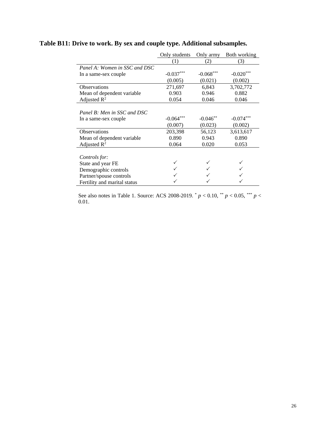|                               | Only students | Only army   | Both working |
|-------------------------------|---------------|-------------|--------------|
|                               | (1)           | (2)         | (3)          |
| Panel A: Women in SSC and DSC |               |             |              |
| In a same-sex couple          | $-0.037***$   | $-0.068***$ | $-0.020$     |
|                               | (0.005)       | (0.021)     | (0.002)      |
| <b>Observations</b>           | 271,697       | 6,843       | 3,702,772    |
| Mean of dependent variable    | 0.903         | 0.946       | 0.882        |
| Adjusted $R^2$                | 0.054         | 0.046       | 0.046        |
|                               |               |             |              |
| Panel B: Men in SSC and DSC   |               |             |              |
| In a same-sex couple          | $-0.064***$   | $-0.046**$  | $-0.074***$  |
|                               | (0.007)       | (0.023)     | (0.002)      |
| <b>Observations</b>           | 203,398       | 56,123      | 3,613,617    |
| Mean of dependent variable    | 0.890         | 0.943       | 0.890        |
| Adjusted $R^2$                | 0.064         | 0.020       | 0.053        |
|                               |               |             |              |
| Controls for:                 |               |             |              |
| State and year FE             |               |             |              |
| Demographic controls          |               |             |              |
| Partner/spouse controls       |               |             |              |
| Fertility and marital status  |               |             |              |

# **Table B11: Drive to work. By sex and couple type. Additional subsamples.**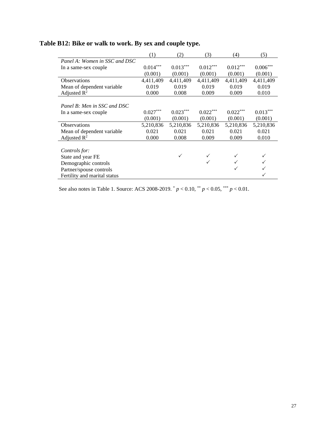|                               | (1)             | (2)        | (3)        | (4)                    | (5)        |
|-------------------------------|-----------------|------------|------------|------------------------|------------|
| Panel A: Women in SSC and DSC |                 |            |            |                        |            |
| In a same-sex couple          | $0.014^{***}\,$ | $0.013***$ | $0.012***$ | $0.012^{\ast\ast\ast}$ | $0.006***$ |
|                               | (0.001)         | (0.001)    | (0.001)    | (0.001)                | (0.001)    |
| <b>Observations</b>           | 4,411,409       | 4,411,409  | 4,411,409  | 4,411,409              | 4,411,409  |
| Mean of dependent variable.   | 0.019           | 0.019      | 0.019      | 0.019                  | 0.019      |
| Adjusted $R^2$                | 0.000           | 0.008      | 0.009      | 0.009                  | 0.010      |
|                               |                 |            |            |                        |            |
| Panel B: Men in SSC and DSC   |                 |            |            |                        |            |
| In a same-sex couple          | $0.027***$      | $0.023***$ | $0.022***$ | $0.022***$             | $0.013***$ |
|                               | (0.001)         | (0.001)    | (0.001)    | (0.001)                | (0.001)    |
| <b>Observations</b>           | 5,210,836       | 5,210,836  | 5,210,836  | 5,210,836              | 5,210,836  |
| Mean of dependent variable    | 0.021           | 0.021      | 0.021      | 0.021                  | 0.021      |
| Adjusted $\mathbb{R}^2$       | 0.000           | 0.008      | 0.009      | 0.009                  | 0.010      |
|                               |                 |            |            |                        |            |
| Controls for:                 |                 |            |            |                        |            |
| State and year FE             |                 | ✓          |            |                        |            |
| Demographic controls          |                 |            |            |                        |            |
| Partner/spouse controls       |                 |            |            |                        |            |
| Fertility and marital status  |                 |            |            |                        |            |

# **Table B12: Bike or walk to work. By sex and couple type.**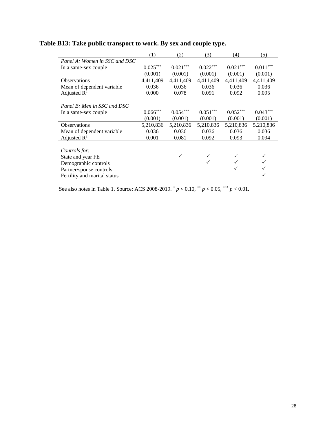|                               | (1)                    | (2)                    | (3)        | (4)                    | (5)                    |
|-------------------------------|------------------------|------------------------|------------|------------------------|------------------------|
| Panel A: Women in SSC and DSC |                        |                        |            |                        |                        |
| In a same-sex couple          | $0.025^{\ast\ast\ast}$ | $0.021^{\ast\ast\ast}$ | $0.022***$ | $0.021^{\ast\ast\ast}$ | $0.011^{\ast\ast\ast}$ |
|                               | (0.001)                | (0.001)                | (0.001)    | (0.001)                | (0.001)                |
| <b>Observations</b>           | 4,411,409              | 4,411,409              | 4,411,409  | 4,411,409              | 4,411,409              |
| Mean of dependent variable.   | 0.036                  | 0.036                  | 0.036      | 0.036                  | 0.036                  |
| Adjusted $R^2$                | 0.000                  | 0.078                  | 0.091      | 0.092                  | 0.095                  |
|                               |                        |                        |            |                        |                        |
| Panel B: Men in SSC and DSC   |                        |                        |            |                        |                        |
| In a same-sex couple          | $0.066^{***}\,$        | $0.054***$             | $0.051***$ | $0.052***$             | $0.043***$             |
|                               | (0.001)                | (0.001)                | (0.001)    | (0.001)                | (0.001)                |
| <b>Observations</b>           | 5,210,836              | 5,210,836              | 5,210,836  | 5,210,836              | 5,210,836              |
| Mean of dependent variable    | 0.036                  | 0.036                  | 0.036      | 0.036                  | 0.036                  |
| Adjusted $R^2$                | 0.001                  | 0.081                  | 0.092      | 0.093                  | 0.094                  |
|                               |                        |                        |            |                        |                        |
| Controls for:                 |                        |                        |            |                        |                        |
| State and year FE             |                        | $\checkmark$           |            |                        |                        |
| Demographic controls          |                        |                        |            |                        |                        |
| Partner/spouse controls       |                        |                        |            |                        |                        |
| Fertility and marital status  |                        |                        |            |                        |                        |

# **Table B13: Take public transport to work. By sex and couple type.**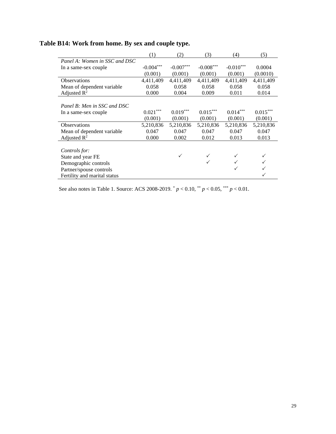|                               | (1)         | (2)         | (3)                              | (4)         | (5)        |
|-------------------------------|-------------|-------------|----------------------------------|-------------|------------|
| Panel A: Women in SSC and DSC |             |             |                                  |             |            |
| In a same-sex couple          | $-0.004***$ | $-0.007***$ | $\textbf{-0.008}^{\ast\ast\ast}$ | $-0.010***$ | 0.0004     |
|                               | (0.001)     | (0.001)     | (0.001)                          | (0.001)     | (0.0010)   |
| <b>Observations</b>           | 4,411,409   | 4,411,409   | 4,411,409                        | 4,411,409   | 4,411,409  |
| Mean of dependent variable    | 0.058       | 0.058       | 0.058                            | 0.058       | 0.058      |
| Adjusted $R^2$                | 0.000       | 0.004       | 0.009                            | 0.011       | 0.014      |
|                               |             |             |                                  |             |            |
| Panel B: Men in SSC and DSC   |             |             |                                  |             |            |
| In a same-sex couple          | $0.021***$  | $0.019***$  | $0.015***$                       | $0.014***$  | $0.015***$ |
|                               | (0.001)     | (0.001)     | (0.001)                          | (0.001)     | (0.001)    |
| <b>Observations</b>           | 5,210,836   | 5,210,836   | 5,210,836                        | 5,210,836   | 5,210,836  |
| Mean of dependent variable.   | 0.047       | 0.047       | 0.047                            | 0.047       | 0.047      |
| Adjusted $R^2$                | 0.000       | 0.002       | 0.012                            | 0.013       | 0.013      |
|                               |             |             |                                  |             |            |
| Controls for:                 |             |             |                                  |             |            |
| State and year FE             |             | ✓           |                                  |             |            |
| Demographic controls          |             |             |                                  |             |            |
| Partner/spouse controls       |             |             |                                  |             |            |
| Fertility and marital status  |             |             |                                  |             |            |

# **Table B14: Work from home. By sex and couple type.**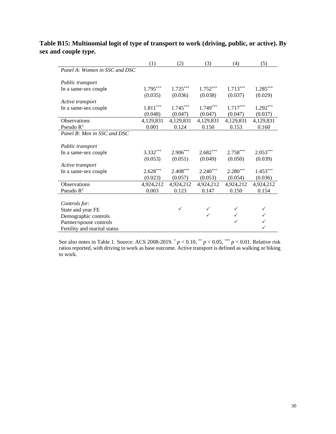|                               | (1)                    | (2)          | (3)          | (4)        | (5)          |
|-------------------------------|------------------------|--------------|--------------|------------|--------------|
| Panel A: Women in SSC and DSC |                        |              |              |            |              |
| Public transport              |                        |              |              |            |              |
| In a same-sex couple          | $1.795***$             | $1.725***$   | $1.752***$   | $1.713***$ | $1.285***$   |
|                               | (0.035)                | (0.036)      | (0.038)      | (0.037)    | (0.029)      |
| Active transport              |                        |              |              |            |              |
| In a same-sex couple          | $1.811^{\ast\ast\ast}$ | $1.745***$   | $1.749***$   | $1.717***$ | $1.292***$   |
|                               | (0.048)                | (0.047)      | (0.047)      | (0.047)    | (0.037)      |
| Observations                  | 4,129,831              | 4,129,831    | 4,129,831    | 4,129,831  | 4,129,831    |
| Pseudo $R^2$                  | 0.001                  | 0.124        | 0.150        | 0.153      | 0.160        |
| Panel B: Men in SSC and DSC   |                        |              |              |            |              |
| Public transport              |                        |              |              |            |              |
| In a same-sex couple          | $3.332***$             | $2.906***$   | $2.682***$   | $2.758***$ | $2.053***$   |
|                               | (0.053)                | (0.051)      | (0.049)      | (0.050)    | (0.039)      |
| Active transport              |                        |              |              |            |              |
| In a same-sex couple          | $2.628***$             | $2.408***$   | $2.240***$   | $2.280***$ | $1.453***$   |
|                               | (0.023)                | (0.057)      | (0.053)      | (0.054)    | (0.036)      |
| Observations                  | 4,924,212              | 4,924,212    | 4,924,212    | 4,924,212  | 4,924,212    |
| Pseudo $R^2$                  | 0.003                  | 0.123        | 0.147        | 0.150      | 0.154        |
|                               |                        |              |              |            |              |
| Controls for:                 |                        |              |              |            |              |
| State and year FE             |                        | $\checkmark$ | $\checkmark$ |            | $\checkmark$ |
| Demographic controls          |                        |              |              |            |              |
| Partner/spouse controls       |                        |              |              |            |              |
| Fertility and marital status  |                        |              |              |            |              |

### **Table B15: Multinomial logit of type of transport to work (driving, public, or active). By sex and couple type.**

See also notes in Table 1. Source: ACS 2008-2019. \* *p* < 0.10, \*\* *p* < 0.05, \*\*\* *p* < 0.01. Relative risk ratios reported, with driving to work as base outcome. Active transport is defined as walking or biking to work.